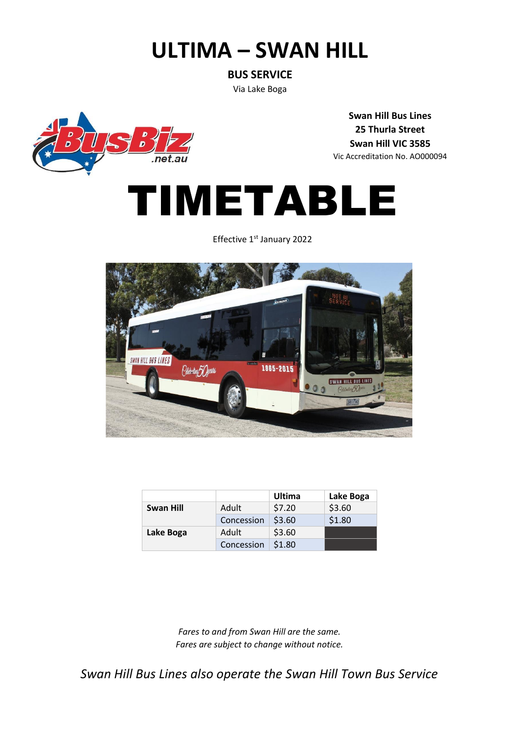## **ULTIMA – SWAN HILL**

**BUS SERVICE**

Via Lake Boga

 $\overline{p}$ 

**Swan Hill Bus Lines 25 Thurla Street Swan Hill VIC 3585** Vic Accreditation No. AO000094



Effective 1<sup>st</sup> January 2022



|                  |            | Ultima | Lake Boga |
|------------------|------------|--------|-----------|
| <b>Swan Hill</b> | Adult      | \$7.20 | \$3.60    |
|                  | Concession | \$3.60 | \$1.80    |
| Lake Boga        | Adult      | \$3.60 |           |
|                  | Concession | \$1.80 |           |

*Fares to and from Swan Hill are the same. Fares are subject to change without notice.*

*Swan Hill Bus Lines also operate the Swan Hill Town Bus Service*